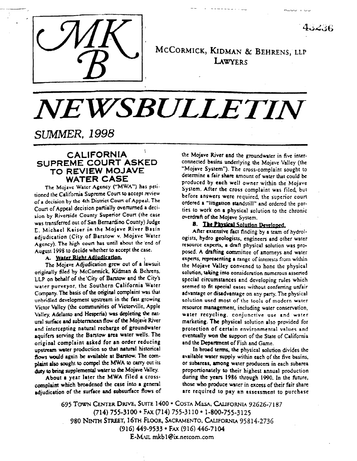

MCCORMICK, KIDMAN & BEHRENS, LLP LAWYERS

 $4.52.36$ 

# NEWSBULLETIN

# **SUMMER, 1998**

# **CALIFORNIA** SUPREME COURT ASKED TO REVIEW MOJAVE **WATER CASE**

The Mojave Water Agency ("MWA") has petitioned the California Supreme Court to accept review of a decision by the 4th District Court of Appeal. The Court of Appeal decision partially overturned a decision by Riverside County Superior Court (the case was transferred out of San Bernardino County) Judge E. Michael Kaiser in the Mojave River Basin adjudication (City of Barstow v. Mojave Water Agency). The high court has until about the end of August 1998 to decide whether to accept the case.

### A. Water Right Adiudication.

The Mojave Adjudication grew out of a lawsuit originally filed by McCormick, Kidman & Behrens. LLP on behalf of the City of Barstow and the City's water purveyor, the Southern California Water Company. The basis of the original complaint was that unbridled development upstream in the fast growing Victor Valley (the communities of Victorville, Apple Valley, Adelanto and Hesperia) was depleting the natural surface and subterranean flow of the Mojave River and intercepting natural recharge of groundwater aquifers serving the Barstow area water wells. The original complaint asked for an order reducing upstream water production so that natural historical flows would again be available at Barstow. The complaint also sought to compel the MWA to carry out its duty to bring supplemental water to the Mojave Valley.

About a year later the MWA filed a crosscomplaint which broadened the case into a general adjudication of the surface and subsurface flows of the Mojave River and the groundwater in five interconnected basins underlying the Mojave Valley (the "Mojave System"). The cross-complaint sought to determine a fair share amount of water that could be produced by each well owner within the Mojave System. After the cross complaint was filed, but before answers were required, the superior court ordered a "litigation standstill" and ordered the parties to work on a physical solution to the chronic overdraft of the Mojave System.

# **B.** The Physical Solution Developed.

After extensive fact finding by a team of hydrologists, hydro geologists, engineers and other water resource experts, a draft physical solution was proposed. A drafting committee of attorneys and water experts, representing a range of interests from within the Mojave Valley convened to hone the physical solution, taking into consideration numerous asserted special circumstances and developing rules which seemed to fit special cases without conferring unfair advantage or disadvantage on any party. The physical solution used most of the tools of modern water resource management, including water conservation, water recycling, conjunctive use and water marketing. The physical solution also provided for protection of certain environmental values and eventually won the support of the State of California and the Department of Fish and Game.

In broad terms, the physical solution divides the available water supply within each of the five basins, or subareas, among water producers in each subarea proportionately to their highest annual production during the years 1986 through 1990. In the future, those who produce water in excess of their fair share are required to pay an assessment to purchase

695 TOWN CENTER DRIVE, SUITE 1400 . COSTA MESA, CALIFORNIA 92626-7187 (714) 755-3100 · FAX (714) 755-3110 · 1-800-755-3125 980 NINTH STREET, 16TH FLOOR, SACRAMENTO, CALIFORNIA 95814-2736 (916) 449-9533 · FAX (916) 446-7104 E-MAIL mkb1@ix.nercom.com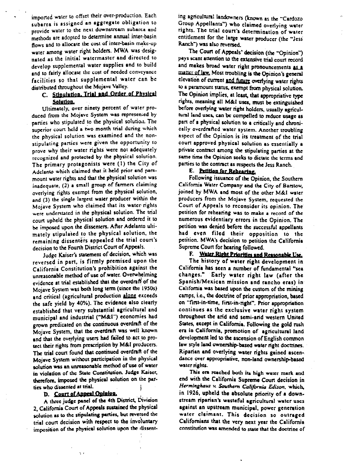imported water to offset their over-production. Each subares is assigned an aggregate obligation to provide water to the next downstream subarea and methods are adopted to determine annual inter-basin flows and to allocate the cost of inter-basin make-up water among water right holders. MWA was designated as the initial watermaster and directed to develop supplemental water supplies and to build and to fairly allocate the cost of needed conveyance facilities so that supplemental water can be distributed throughout the Mojave Valley.

# C. Stinulation. Trial and Order of Physical

Solution.<br>Ultimately, over ninety percent of water produced from the Mojave System was represented by parties who stipulated to the physical solution. The superior court held a two month trial during which the physical solution was examined and the nonstipulating parties were given the opportunity to prove why their water rights were not adequately recognized and protected by the physical solution. The primary protagonists were (1) the City of Adelanto which claimed that it held prior and paramount water rights and that the physical solution was inadequate, (2) a small group of farmers claiming overlying rights exempt from the physical solution, and (3) the single largest water producer within the Mojave System who claimed that its water rights we were understanding the two understanding were understated in the physical solution. The war court upheld the physical solution and ordered it to<br>be imposed upon the dissenters. After Adelanto ultipe imposed to the physical solution, the physical solution, the physical solution, the physical solution, the physical solution, the physical solution, the physical solution, the physical solution, the physical solution, t mately appeared to the buy their courting the remaining dissenters appealed the trial court's decision to the Fourth District Court of Appeals.<br>Judge Kaiser's statement of decision, which was

Judge Kaiser's statement of decision, which was reversed in part, is firmly promised upon the California Constitution's prohibition against the unreasonable method of use of water. Overwhelming evidence at trial established that the overdraft of the Mojave System was both long term (since the 1950s) and critical (agricultural production alone exceeds the safe yield by 40%). The evidence also clearly established that very substantial agricultural and municipal and industrial ("M&I") economies had grown predicated on the continuous overdraft of the Mojave System, that the overdraft was well known and that the overlying users had failed to act to protect their rights from prescription by M&I producers. The trial court found that continued overdraft of the Mojave System without participation in the physical solution was an unreasonable method of use of water in violation of the State Constitution. Judge Kaiser, therefore, imposed the physical solution on th ties who dissented at trial.

# D. Court of Appeal Opinion.

 $\sim$ 

A three judge panel of the 4th District, Division 2, California Court of Appeals sustained the physical solution as to the stipulating parties, but reversed the trial court decision with respect to the involuntary imposition of the physical solution upon the dissenting agricultural landowners (known as the "Cardozo Group Appellants") who claimed overlying water rights. The trial court's determination of water cntitlcment for the large wakr producer (the "Jess' Ranch") was also reversed.

The Court of Appeals' decision (the "Opinion") pays scant attention to the extensive trial court record and makes broad water right pronouncements as a matter of law. Most troubling is the Opinion's general elevation of current and future overlying water rights to a paramount status, exempt from physical solution. The Opinion implies, at least, that appropriative type rights, meaning all M&I uses, must be extinguished before overlying water right holders, usually agricultural land uses, can be compelled to reduce usage as pan of a physical solution to a critically and chronically overdrafted water system. Another troubling aspect of the Opinion is its treatment of rhc trial court approved physical solution as essentially a private contract among the stipulating panics at the same time the Opinion seeks to dictate the terms and parties to the contract as respects the Jess Ranch.

E. Petition for Rehearing.<br>Following issuance of the Opinion, the Southern California Water Company and Company and Southern Lambring water Company and the City of Barstow, joined by MWA and most of the other M&I water producers from the Mojave System, requested the Court of Appeals to reconsider its opinion. The petition for rehearing was to make a record of the numerous evidentiary errors in the Opinion. The petition was denied before the successful appellants had even filed their opposition to the petition. MWA's decision to petition the California Supreme Court for hearing followed.

# F. Water Right Priorities and Reasonable Use.

The history of water right development in California has seen a number of fundamental "sea changes." Early water right law (after the Spanish/Mexican mission and rancho eras) in California was based upon the custom of the mining camps, i.e., the doctrine of prior appropriation, based on "first-in-time, first-in-right". Prior appropriation continues as the exclusive water right system throughout the arid and semi-arid western United States, except in California. Following the gold rush era in California, promotion of agricultural land development led to the ascension of English common law style land ownership-based water right doctrines. Riparian and overlying water rights gained ascendance over  $\mathbf r$  rights.

This era reached both its high water mark and end with the California Supreme Court decision in Herminghaus v. Southern California Edison. which, in 1926, upheld the absolute priority of a downstream riparian's wasteful agricultural water uses against an upstream municipal, power generation water claimant. This decision so outraged Californians that the very next year the California constitution was amended to state that the doctrine of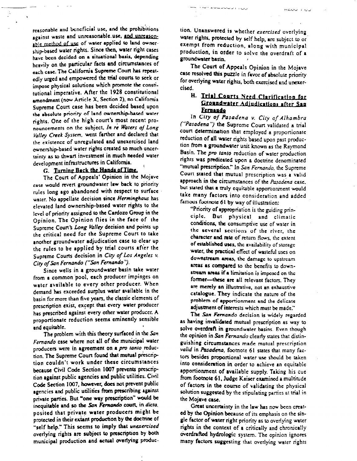reasonable and beneficial use, and the prohibitions against waste and unreasonable use, and unreasonable method of use of water applied to land ownership-based water rights. Since then, water right cases have been decided on a situational basis, depending heavily on the ponicular facts and circumstances of each case. The California Supreme Court has repeatedly urged and empowered the trial courts to seek or impose physical solutions which promote the constitutional imperative. After the 1928 constimtiona] amendment (now Article X. Section 2), no California Supreme Court case has been decided based upon the absolute priority of land ownership-based water rights. One of the high court's most recent pronouncements on the subject, In re Waters of Long Valley Creek System, went farther and declared that the existence of unregulated and unexercised land ownership-based water rights created so much uncertainty as to thwart investment in much needed water development infrastructures in California.

ċ.

# G. Turning Back the Hands of Time.

The Court of Appeals' Opinion in the Mojave case would revert groundwater law back to priority rules long ago qbandoned with respect to surface water. No appellate decision since Herminghaus has elevated land ownership-based water rights to rhe level of priority assigned to the Cardozo Group in the Opinion. The Opinion flice in the face of the Supreme Court's Long Valley decision and points up the critical need for the Supreme Court to rake another groundwater adjudication case to clear up the rules to be applied by trial courts after the Supreme Courts decision in City of Los Angeles v. City of San Fernando ("San Fernando").

Since wells in a groundwater basin take water from a common 'pool, each producer impinges on water available to every other producer. When demand has exceeded surplus water available in the basin for more than five pars, the classic elements of prescription exist, except that every water producer has prescribed against every other water producer. A proportionate reduction seems eminently sensible proportionale requestori seculi cininentif ser

and equitable.<br>The problem with this theory surfaced in the San Fernando case where not all of the municipal water producers were in agreement on a pro tanto reduction. The Supreme Court found that mutual prescription couldn't work under these circumstances because Civil Code Section 1007 prevents prrscription against public agencies and public utilities. Civil Code Section 1007, however, does not prevent public agencies and public utilities from prescribing against private parties. But "one way prescription" would be inequitable and so the San Fernando court, in dicta. posited that private water producers might be protected in their extant pmduction by the doctrine of "self help." This seems to imply that unexercised overlying rights are subject to prescription by both municipal production and actual overlying production. Unanswered is whether exercised overlying water rights. protected by self help, are subject to or exempt from reduction, along with municipal production, in order to solve the overdraft of a groundwater basin. 7

 $HCCUU + VU$ 

والمناور والمركبات سأتساط والمتاوية

The Court of Appeals Opinion in the Mojave case resolved this puzzle in favor of absolute priority for overlying water rights, both exercised and unexercised.

# H. Trial Courts Need Clarification for Groundwater Adjudications after San **Ecreando**

In City of Pasadena v. City of Alhambra ("Pasadena") the Supreme Court validated a trial court determination that employed a proportionate reduction of all water rights based upon past production from a groundwater unit known as the Raymond Basin. The pro tanto reduction of water production rights was predicated upon a docuine denominated "mutual prescription." In San Fernando, the Supreme Court stated that mutual prescription was a valid approach in the circumstances of the Pasadena case. but stated that a truly equitable apportionment would take many factors into consideration and added famous footnote 61 by way of illustration:

"Priority of appropriation is the guiding principle. But physical and climatic conditions, the consumptive use of water in the several sections of the river. the character and rate of return flows, the extent of established uses, the availability of storage water, the practical effect of wasteful uses on downstream areas, the damage to upstream areas as compared to the benefits to downstream areas if a limitation is imposed on the former-these are all relevant factors. They are merely an illustrative, not an exhaustive catalogue. They indicate the nature of the problem of apportionment and Iho 'delicare adjustment of interests which must be made."

The San Fernando decision is widely regarded as having invalidation is widely regarded mutual present in the same of the same of the same of the same of the solve over the contract basing wales they we solve overdraft in groundwater basins. Even though the opinion in San Fernando clearly states that distinguishing circumstances made mutual prescription valid in Pasadena, footnote 61 states that many factors besides proportional water use should be taken into consideration in order to achieve an equitable apportionment of available supply. Taking his cue from footnote 61. Judge Kaiser examined a multitude of factors in the course of validating the physical solution suggested by the stipulating parties at trial in the Mojave case.  $G$  is the law has now been created uncertainty in the law has now been created uncertainty in the law  $G$ 

ed by the Opinion because of the singed by the Opinion because of its emphasis on the single factor of water right priority as to overlying water rights in the context of a critically and chronically overdrafted hydrologic system. The opinion ignores many factors suggesting that overlying water rights